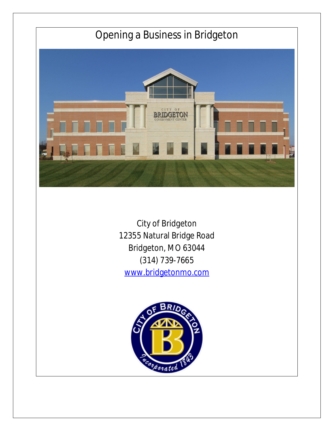

City of Bridgeton 12355 Natural Bridge Road Bridgeton, MO 63044 (314) 739-7665 [www.bridgetonmo.com](http://www.bridgetonmo.com)

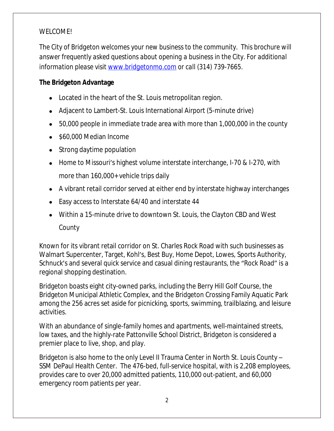## WELCOME!

*The City of Bridgeton welcomes your new business to the community. This brochure will answer frequently asked questions about opening a business in the City. For additional information please visit [www.bridgetonmo.com](http://www.bridgetonmo.com) or call (314) 739-7665.*

## **The Bridgeton Advantage**

- Located in the heart of the St. Louis metropolitan region.
- Adjacent to Lambert-St. Louis International Airport (5-minute drive)
- 50,000 people in immediate trade area with more than 1,000,000 in the county
- \$60,000 Median Income
- Strong daytime population
- Home to Missouri's highest volume interstate interchange, I-70 & I-270, with more than 160,000+ vehicle trips daily
- A vibrant retail corridor served at either end by interstate highway interchanges
- Easy access to Interstate 64/40 and interstate 44
- Within a 15-minute drive to downtown St. Louis, the Clayton CBD and West County

Known for its vibrant retail corridor on St. Charles Rock Road with such businesses as Walmart Supercenter, Target, Kohl's, Best Buy, Home Depot, Lowes, Sports Authority, Schnuck's and several quick service and casual dining restaurants, the "Rock Road" is a regional shopping destination.

Bridgeton boasts eight city-owned parks, including the Berry Hill Golf Course, the Bridgeton Municipal Athletic Complex, and the Bridgeton Crossing Family Aquatic Park among the 256 acres set aside for picnicking, sports, swimming, trailblazing, and leisure activities.

With an abundance of single-family homes and apartments, well-maintained streets, low taxes, and the highly-rate Pattonville School District, Bridgeton is considered a premier place to live, shop, and play.

Bridgeton is also home to the only Level II Trauma Center in North St. Louis County – SSM DePaul Health Center. The 476-bed, full-service hospital, with is 2,208 employees, provides care to over 20,000 admitted patients, 110,000 out-patient, and 60,000 emergency room patients per year.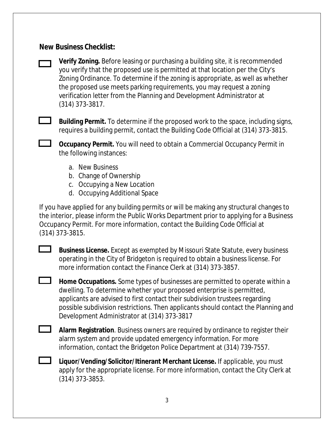# **New Business Checklist:**



**Verify Zoning.** Before leasing or purchasing a building site, it is recommended you verify that the proposed use is permitted at that location per the City's Zoning Ordinance. To determine if the zoning is appropriate, as well as whether the proposed use meets parking requirements, you may request a zoning verification letter from the Planning and Development Administrator at (314) 373-3817.



**L** Building Permit. To determine if the proposed work to the space, including signs, requires a building permit, contact the Building Code Official at (314) 373-3815.

**CCCUPANCY Permit.** You will need to obtain a Commercial Occupancy Permit in the following instances:

- a. New Business
- b. Change of Ownership
- c. Occupying a New Location
- d. Occupying Additional Space

If you have applied for any building permits or will be making any structural changes to the interior, please inform the Public Works Department prior to applying for a Business Occupancy Permit. For more information, contact the Building Code Official at (314) 373-3815.

 $\overline{\phantom{0}}$ **Business License.** Except as exempted by Missouri State Statute, every business operating in the City of Bridgeton is required to obtain a business license. For more information contact the Finance Clerk at (314) 373-3857.

**Home Occupations.** Some types of businesses are permitted to operate within a dwelling. To determine whether your proposed enterprise is permitted, applicants are advised to first contact their subdivision trustees regarding possible subdivision restrictions. Then applicants should contact the Planning and Development Administrator at (314) 373-3817

**Alarm Registration**. Business owners are required by ordinance to register their alarm system and provide updated emergency information. For more information, contact the Bridgeton Police Department at (314) 739-7557.

**Liquor/Vending/Solicitor/Itinerant Merchant License.** If applicable, you must apply for the appropriate license. For more information, contact the City Clerk at (314) 373-3853.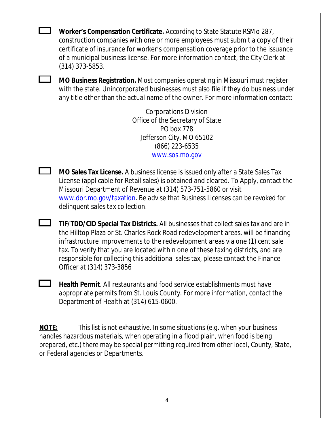**Worker's Compensation Certificate.** According to State Statute RSMo 287, construction companies with one or more employees must submit a copy of their certificate of insurance for worker's compensation coverage prior to the issuance of a municipal business license. For more information contact, the City Clerk at (314) 373-5853.

**MO Business Registration.** Most companies operating in Missouri must register with the state. Unincorporated businesses must also file if they do business under any title other than the actual name of the owner. For more information contact:

> Corporations Division Office of the Secretary of State PO box 778 Jefferson City, MO 65102 (866) 223-6535 [www.sos.mo.gov](http://www.sos.mo.gov)

**MO Sales Tax License.** A business license is issued only after a State Sales Tax License (applicable for Retail sales) is obtained and cleared. To Apply, contact the Missouri Department of Revenue at (314) 573-751-5860 or visit [www.dor.mo.gov/taxation.](http://www.dor.mo.gov/taxation) *Be advise that Business Licenses can be revoked for delinquent sales tax collection.*

**TIF/TDD/CID Special Tax Districts.** All businesses that collect sales tax and are in the Hilltop Plaza or St. Charles Rock Road redevelopment areas, will be financing infrastructure improvements to the redevelopment areas via one (1) cent sale tax. To verify that you are located within one of these taxing districts, and are responsible for collecting this additional sales tax, please contact the Finance Officer at (314) 373-3856

**Health Permit**. All restaurants and food service establishments must have appropriate permits from St. Louis County. For more information, contact the Department of Health at (314) 615-0600.

**NOTE:** *This list is not exhaustive. In some situations (e.g. when your business handles hazardous materials, when operating in a flood plain, when food is being prepared, etc.) there may be special permitting required from other local, County, State, or Federal agencies or Departments.*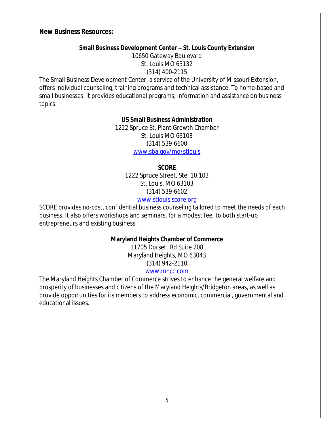## **New Business Resources:**

#### **Small Business Development Center – St. Louis County Extension**

10650 Gateway Boulevard St. Louis MO 63132 (314) 400-2115

The Small Business Development Center, a service of the University of Missouri Extension, offers individual counseling, training programs and technical assistance. To home-based and small businesses, it provides educational programs, information and assistance on business topics.

#### **US Small Business Administration**

1222 Spruce St. Plant Growth Chamber St. Louis MO 63103 (314) 539-6600 [www.sba.gov/mo/stlouis](http://www.sba.gov/mo/stlouis)

#### **SCORE**

1222 Spruce Street, Ste. 10.103 St. Louis, MO 63103 (314) 539-6602

## [www.stlouis.score.org](http://www.stlouis.score.org)

SCORE provides no-cost, confidential business counseling tailored to meet the needs of each business. It also offers workshops and seminars, for a modest fee, to both start-up entrepreneurs and existing business.

#### **Maryland Heights Chamber of Commerce**

11705 Dorsett Rd Suite 208 Maryland Heights, MO 63043 (314) 942-2110

#### [www.mhcc.com](http://www.mhcc.com)

The Maryland Heights Chamber of Commerce strives to enhance the general welfare and prosperity of businesses and citizens of the Maryland Heights/Bridgeton areas, as well as provide opportunities for its members to address economic, commercial, governmental and educational issues.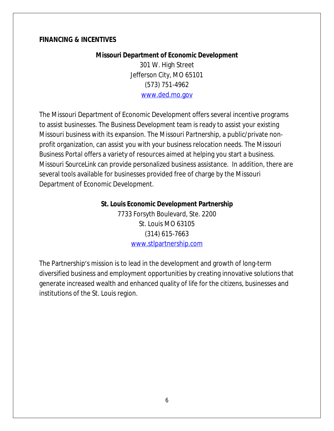## **FINANCING & INCENTIVES**

## **Missouri Department of Economic Development**

301 W. High Street Jefferson City, MO 65101 (573) 751-4962 [www.ded.mo.gov](http://www.ded.mo.gov)

The Missouri Department of Economic Development offers several incentive programs to assist businesses. The *Business Development* team is ready to assist your existing Missouri business with its expansion. The *Missouri Partnership*, a public/private nonprofit organization, can assist you with your business relocation needs. The *Missouri Business Portal* offers a variety of resources aimed at helping you start a business. *Missouri SourceLink* can provide personalized business assistance. In addition, there are several tools available for businesses provided free of charge by the Missouri Department of Economic Development.

### **St. Louis Economic Development Partnership**

7733 Forsyth Boulevard, Ste. 2200 St. Louis MO 63105 (314) 615-7663 [www.stlpartnership.com](http://www.stlpartnership.com)

The Partnership's mission is to lead in the development and growth of long-term diversified business and employment opportunities by creating innovative solutions that generate increased wealth and enhanced quality of life for the citizens, businesses and institutions of the St. Louis region.